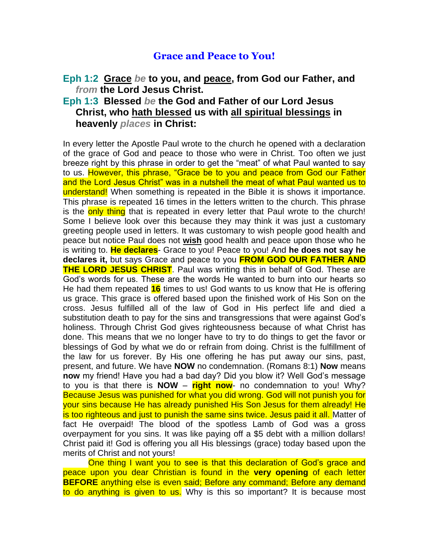## **Grace and Peace to You!**

## **Eph 1:2 Grace** *be* **to you, and peace, from God our Father, and**  *from* **the Lord Jesus Christ.**

## **Eph 1:3 Blessed** *be* **the God and Father of our Lord Jesus Christ, who hath blessed us with all spiritual blessings in heavenly** *places* **in Christ:**

In every letter the Apostle Paul wrote to the church he opened with a declaration of the grace of God and peace to those who were in Christ. Too often we just breeze right by this phrase in order to get the "meat" of what Paul wanted to say to us. However, this phrase, "Grace be to you and peace from God our Father and the Lord Jesus Christ" was in a nutshell the meat of what Paul wanted us to understand! When something is repeated in the Bible it is shows it importance. This phrase is repeated 16 times in the letters written to the church. This phrase is the only thing that is repeated in every letter that Paul wrote to the church! Some I believe look over this because they may think it was just a customary greeting people used in letters. It was customary to wish people good health and peace but notice Paul does not **wish** good health and peace upon those who he is writing to. **He declares**- Grace to you! Peace to you! And **he does not say he declares it,** but says Grace and peace to you **FROM GOD OUR FATHER AND THE LORD JESUS CHRIST**. Paul was writing this in behalf of God. These are God's words for us. These are the words He wanted to burn into our hearts so He had them repeated **16** times to us! God wants to us know that He is offering us grace. This grace is offered based upon the finished work of His Son on the cross. Jesus fulfilled all of the law of God in His perfect life and died a substitution death to pay for the sins and transgressions that were against God's holiness. Through Christ God gives righteousness because of what Christ has done. This means that we no longer have to try to do things to get the favor or blessings of God by what we do or refrain from doing. Christ is the fulfillment of the law for us forever. By His one offering he has put away our sins, past, present, and future. We have **NOW** no condemnation. (Romans 8:1) **Now** means **now** my friend! Have you had a bad day? Did you blow it? Well God's message to you is that there is **NOW** – **right now**- no condemnation to you! Why? Because Jesus was punished for what you did wrong. God will not punish you for your sins because He has already punished His Son Jesus for them already! He is too righteous and just to punish the same sins twice. Jesus paid it all. Matter of fact He overpaid! The blood of the spotless Lamb of God was a gross overpayment for you sins. It was like paying off a \$5 debt with a million dollars! Christ paid it! God is offering you all His blessings (grace) today based upon the merits of Christ and not yours!

One thing I want you to see is that this declaration of God's grace and peace upon you dear Christian is found in the **very opening** of each letter **BEFORE** anything else is even said; Before any command; Before any demand to do anything is given to us. Why is this so important? It is because most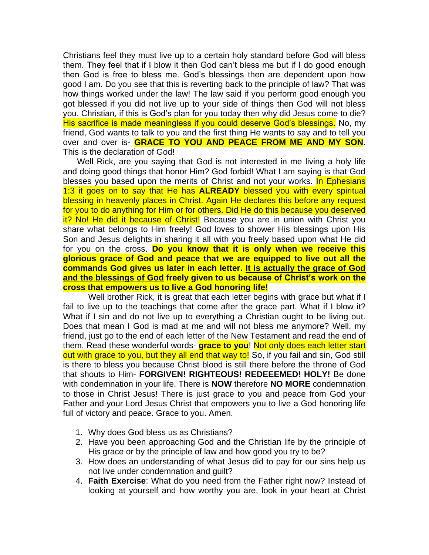Christians feel they must live up to a certain holy standard before God will bless them. They feel that if I blow it then God can't bless me but if I do good enough then God is free to bless me. God's blessings then are dependent upon how good I am. Do you see that this is reverting back to the principle of law? That was how things worked under the law! The law said if you perform good enough you got blessed if you did not live up to your side of things then God will not bless you. Christian, if this is God's plan for you today then why did Jesus come to die? His sacrifice is made meaningless if you could deserve God's blessings. No, my friend, God wants to talk to you and the first thing He wants to say and to tell you over and over is- **GRACE TO YOU AND PEACE FROM ME AND MY SON**. This is the declaration of God!

 Well Rick, are you saying that God is not interested in me living a holy life and doing good things that honor Him? God forbid! What I am saying is that God blesses you based upon the merits of Christ and not your works. In Ephesians 1:3 it goes on to say that He has **ALREADY** blessed you with every spiritual blessing in heavenly places in Christ. Again He declares this before any request for you to do anything for Him or for others. Did He do this because you deserved it? No! He did it because of Christ! Because you are in union with Christ you share what belongs to Him freely! God loves to shower His blessings upon His Son and Jesus delights in sharing it all with you freely based upon what He did for you on the cross. **Do you know that it is only when we receive this glorious grace of God and peace that we are equipped to live out all the commands God gives us later in each letter. It is actually the grace of God and the blessings of God freely given to us because of Christ's work on the cross that empowers us to live a God honoring life!**

Well brother Rick, it is great that each letter begins with grace but what if I fail to live up to the teachings that come after the grace part. What if I blow it? What if I sin and do not live up to everything a Christian ought to be living out. Does that mean I God is mad at me and will not bless me anymore? Well, my friend, just go to the end of each letter of the New Testament and read the end of them. Read these wonderful words- **grace to you**! Not only does each letter start out with grace to you, but they all end that way to! So, if you fail and sin, God still is there to bless you because Christ blood is still there before the throne of God that shouts to Him- **FORGIVEN! RIGHTEOUS! REDEEEMED! HOLY!** Be done with condemnation in your life. There is **NOW** therefore **NO MORE** condemnation to those in Christ Jesus! There is just grace to you and peace from God your Father and your Lord Jesus Christ that empowers you to live a God honoring life full of victory and peace. Grace to you. Amen.

- 1. Why does God bless us as Christians?
- 2. Have you been approaching God and the Christian life by the principle of His grace or by the principle of law and how good you try to be?
- 3. How does an understanding of what Jesus did to pay for our sins help us not live under condemnation and guilt?
- 4. **Faith Exercise**: What do you need from the Father right now? Instead of looking at yourself and how worthy you are, look in your heart at Christ